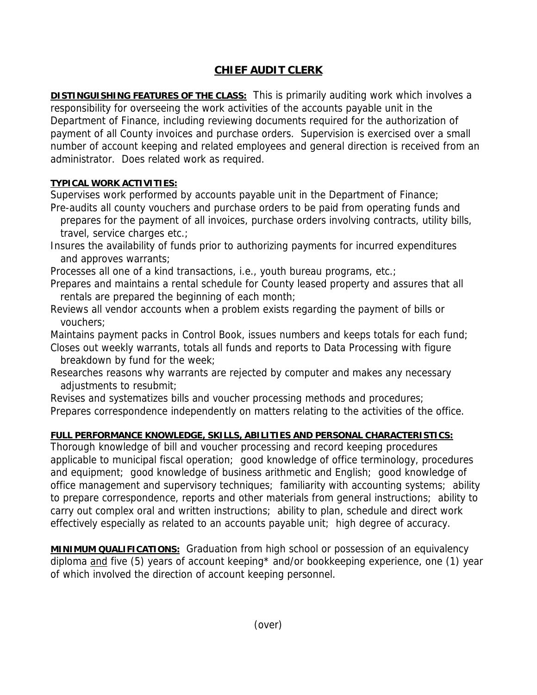## **CHIEF AUDIT CLERK**

**DISTINGUISHING FEATURES OF THE CLASS:** This is primarily auditing work which involves a responsibility for overseeing the work activities of the accounts payable unit in the Department of Finance, including reviewing documents required for the authorization of payment of all County invoices and purchase orders. Supervision is exercised over a small number of account keeping and related employees and general direction is received from an administrator. Does related work as required.

## **TYPICAL WORK ACTIVITIES:**

Supervises work performed by accounts payable unit in the Department of Finance; Pre-audits all county vouchers and purchase orders to be paid from operating funds and

 prepares for the payment of all invoices, purchase orders involving contracts, utility bills, travel, service charges etc.;

Insures the availability of funds prior to authorizing payments for incurred expenditures and approves warrants;

Processes all one of a kind transactions, i.e., youth bureau programs, etc.;

Prepares and maintains a rental schedule for County leased property and assures that all rentals are prepared the beginning of each month;

Reviews all vendor accounts when a problem exists regarding the payment of bills or vouchers;

Maintains payment packs in Control Book, issues numbers and keeps totals for each fund;

- Closes out weekly warrants, totals all funds and reports to Data Processing with figure breakdown by fund for the week;
- Researches reasons why warrants are rejected by computer and makes any necessary adjustments to resubmit;

Revises and systematizes bills and voucher processing methods and procedures; Prepares correspondence independently on matters relating to the activities of the office.

## **FULL PERFORMANCE KNOWLEDGE, SKILLS, ABILITIES AND PERSONAL CHARACTERISTICS:**

Thorough knowledge of bill and voucher processing and record keeping procedures applicable to municipal fiscal operation; good knowledge of office terminology, procedures and equipment; good knowledge of business arithmetic and English; good knowledge of office management and supervisory techniques; familiarity with accounting systems; ability to prepare correspondence, reports and other materials from general instructions; ability to carry out complex oral and written instructions; ability to plan, schedule and direct work effectively especially as related to an accounts payable unit; high degree of accuracy.

**MINIMUM QUALIFICATIONS:** Graduation from high school or possession of an equivalency diploma and five (5) years of account keeping\* and/or bookkeeping experience, one (1) year of which involved the direction of account keeping personnel.